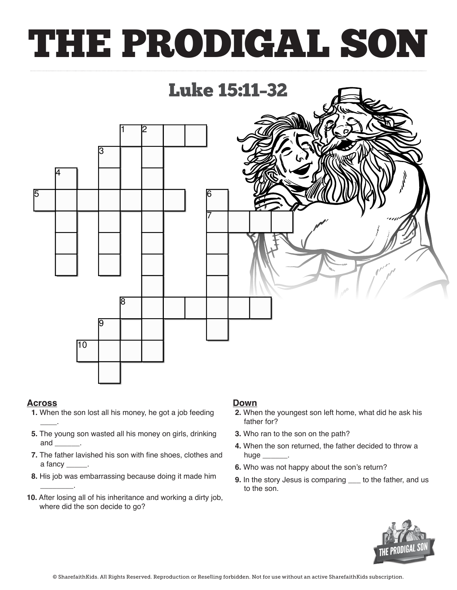# THE PRODIGAL SON



### **Across**

\_\_\_\_.

 $\overline{\phantom{a}}$  .

- **1.** When the son lost all his money, he got a job feeding **Down**  $1.$  When the son lost all his money,  $\frac{1}{2}$
- **5.** The young son wasted all his money on girls, drinking and **5.** The fall extends in this money
	- **7.** The father lavished his son with fine shoes, clothes and a fancy
- 8. His job was embarrassing because doing it made him **a** hugh the fine shows
- **10.** After losing all of his inheritance and working a dirty job,<br>where did the son decide to go? **10.** After losing all of his inheritance<br>?where did the son decide to go

#### **Down**

- **2.** When the youngest son left home, what did he ask his **2.** When the youngest son left home, what did he ask father for?
- **S** drinking **3.** Who ran to the son on the path?
- **4.** When the son returned, the father decided to throw a huge  $\_\_$
- , clothes and the nuge <u>the son returned</u>, the son return?<br>**4.** Who was not happy about the son's return?
- **9.** In the story Jesus is comparing  $\quad$  to the father, and us to the son. **6.** When we do, y doesn't comparing <u>the</u> to the son